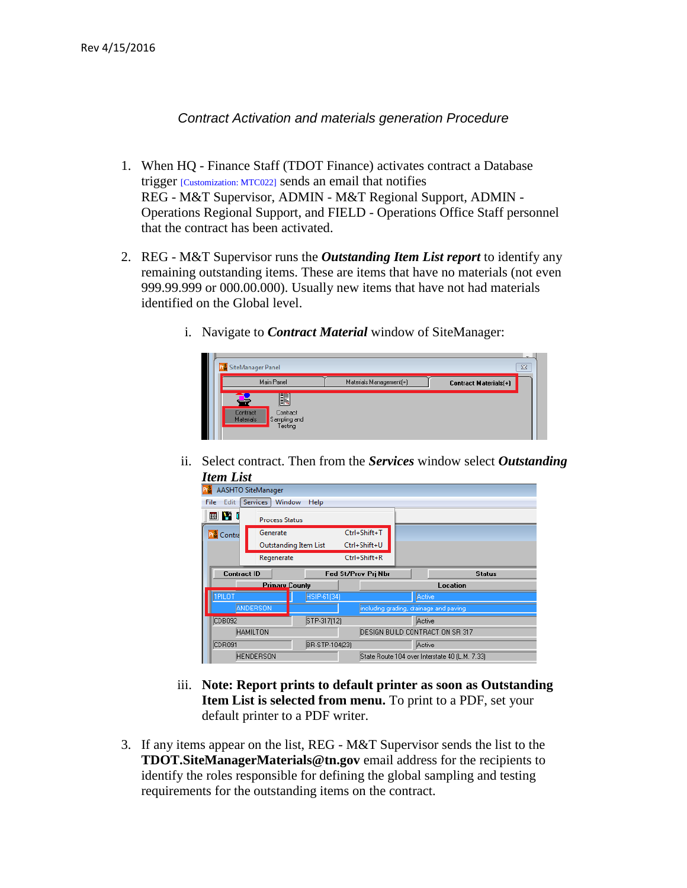## *Contract Activation and materials generation Procedure*

- 1. When HQ Finance Staff (TDOT Finance) activates contract a Database trigger [Customization: MTC022] sends an email that notifies REG - M&T Supervisor, ADMIN - M&T Regional Support, ADMIN - Operations Regional Support, and FIELD - Operations Office Staff personnel that the contract has been activated.
- 2. REG M&T Supervisor runs the *Outstanding Item List report* to identify any remaining outstanding items. These are items that have no materials (not even 999.99.999 or 000.00.000). Usually new items that have not had materials identified on the Global level.
	- i. Navigate to *Contract Material* window of SiteManager:



ii. Select contract. Then from the *Services* window select *Outstanding Item List*

| Edit          | Services <sup>1</sup> | Help                                                                                                  |                                                                                   |                                                                            |
|---------------|-----------------------|-------------------------------------------------------------------------------------------------------|-----------------------------------------------------------------------------------|----------------------------------------------------------------------------|
|               |                       |                                                                                                       |                                                                                   |                                                                            |
|               | Generate              |                                                                                                       |                                                                                   |                                                                            |
|               |                       |                                                                                                       |                                                                                   |                                                                            |
|               | Regenerate            |                                                                                                       |                                                                                   |                                                                            |
|               |                       |                                                                                                       |                                                                                   | <b>Status</b>                                                              |
|               |                       |                                                                                                       |                                                                                   | Location                                                                   |
| <b>TPILOT</b> |                       | HSIP-61(34)                                                                                           |                                                                                   | Active                                                                     |
|               |                       |                                                                                                       |                                                                                   | including grading, drainage and paving.                                    |
| CDB092        |                       | STP-317(12)                                                                                           |                                                                                   | Active                                                                     |
|               |                       |                                                                                                       |                                                                                   | DESIGN BUILD CONTRACT ON SR 317                                            |
|               |                       |                                                                                                       |                                                                                   |                                                                            |
| CDR091        |                       | BR-STP-104(23)                                                                                        |                                                                                   | Active                                                                     |
|               | <b>File</b>           | <b>AASHTO SiteManager</b><br>画的<br>Contra<br><b>Contract ID</b><br><b>ANDERSON</b><br><b>HAMILTON</b> | Window<br><b>Process Status</b><br>Outstanding Item List<br><b>Primary County</b> | Ctrl+Shift+T<br>Ctrl+Shift+U<br>Ctrl+Shift+R<br><b>Fed St/Prov Pri Nbr</b> |

- iii. **Note: Report prints to default printer as soon as Outstanding Item List is selected from menu.** To print to a PDF, set your default printer to a PDF writer.
- 3. If any items appear on the list, REG M&T Supervisor sends the list to the **TDOT.SiteManagerMaterials@tn.gov** email address for the recipients to identify the roles responsible for defining the global sampling and testing requirements for the outstanding items on the contract.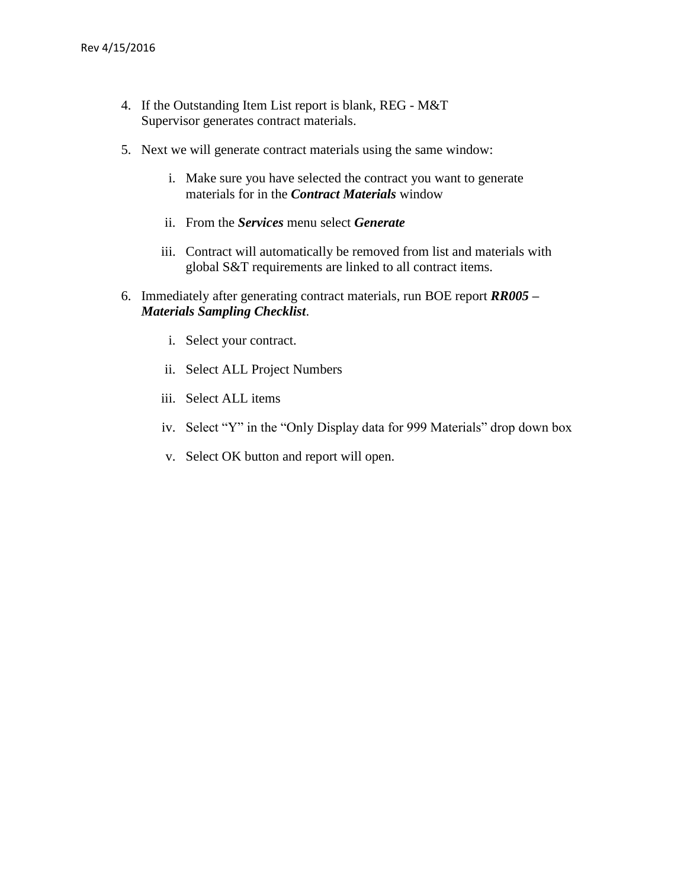- 4. If the Outstanding Item List report is blank, REG M&T Supervisor generates contract materials.
- 5. Next we will generate contract materials using the same window:
	- i. Make sure you have selected the contract you want to generate materials for in the *Contract Materials* window
	- ii. From the *Services* menu select *Generate*
	- iii. Contract will automatically be removed from list and materials with global S&T requirements are linked to all contract items.
- 6. Immediately after generating contract materials, run BOE report *RR005 – Materials Sampling Checklist*.
	- i. Select your contract.
	- ii. Select ALL Project Numbers
	- iii. Select ALL items
	- iv. Select "Y" in the "Only Display data for 999 Materials" drop down box
	- v. Select OK button and report will open.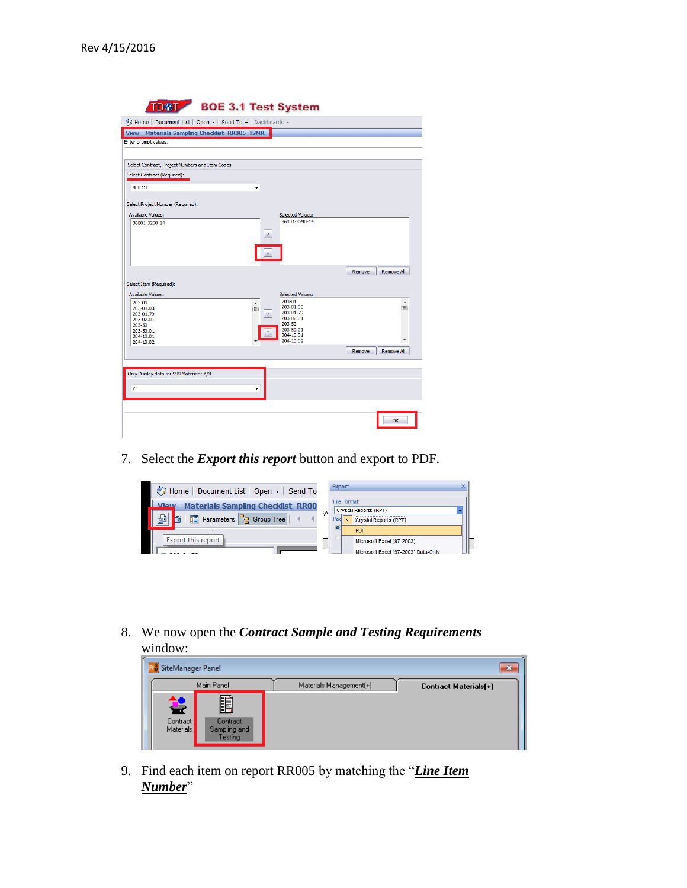| Home   Document List   Open +   Send To +   Dashboards + |                              |                         |        |                   |
|----------------------------------------------------------|------------------------------|-------------------------|--------|-------------------|
| <b>View - Materials Sampling Checklist RR005_TSMR</b>    |                              |                         |        |                   |
| Enter prompt values.                                     |                              |                         |        |                   |
|                                                          |                              |                         |        |                   |
| Select Contract, Project Numbers and Item Codes          |                              |                         |        |                   |
| Select Contract (Required):                              |                              |                         |        |                   |
| 4PILOT                                                   | ÷                            |                         |        |                   |
|                                                          |                              |                         |        |                   |
| Select Project Number (Required):                        |                              |                         |        |                   |
| <b>Available Values:</b>                                 |                              | Selected Values:        |        |                   |
| 36001-3290-14                                            |                              | 36001-3290-14           |        |                   |
|                                                          | $\rightarrow$                |                         |        |                   |
|                                                          |                              |                         |        |                   |
|                                                          | $\gg$                        |                         |        |                   |
|                                                          |                              |                         |        |                   |
|                                                          |                              |                         | Remove | Remove All        |
| Select Item (Required):                                  |                              |                         |        |                   |
| <b>Available Values:</b>                                 |                              | <b>Selected Values:</b> |        |                   |
| 203-01<br>203-01.03                                      | $\blacktriangle$<br>Έì       | 203-01<br>203-01.03     |        | ▲<br>E            |
| 203-01.79                                                | $\left\langle \right\rangle$ | 203-01.79<br>203-02.01  |        |                   |
| 203-02.01<br>203-50                                      |                              | 203-50                  |        |                   |
| 203-50.01<br>204-10.01                                   | $\gg$                        | 203-50.01<br>204-10.01  |        |                   |
| 204-10.02                                                |                              | 204-10.02               |        | ٠                 |
|                                                          |                              |                         | Remove | <b>Remove All</b> |
|                                                          |                              |                         |        |                   |
| Only Display data for 999 Materials: Y/N                 |                              |                         |        |                   |
| Y                                                        | ٠                            |                         |        |                   |
|                                                          |                              |                         |        |                   |
|                                                          |                              |                         |        |                   |
|                                                          |                              |                         |        |                   |

7. Select the *Export this report* button and export to PDF.

| Home   Document List   Open -   Send To         |   | ×<br><b>Export</b>                      |
|-------------------------------------------------|---|-----------------------------------------|
| <b>View - Materials Sampling Checklist RR00</b> |   | File Format:<br>Crystal Reports (RPT)   |
| <b>Parameters P</b> Group Tree                  | А | Crystal Reports (RPT)<br>Pad            |
| Export this report                              |   | <b>PDF</b><br>Microsoft Excel (97-2003) |
|                                                 |   | Microsoft Excel (97-2003) Data-Only     |

8. We now open the *Contract Sample and Testing Requirements* window:

| SiteManager Panel                 |                                                   |                         | w                            |
|-----------------------------------|---------------------------------------------------|-------------------------|------------------------------|
|                                   | Main Panel                                        | Materials Management(+) | <b>Contract Materials(+)</b> |
| 들<br>Contract<br><b>Materials</b> | <b>III</b><br>Contract<br>Sampling and<br>Testing |                         |                              |

9. Find each item on report RR005 by matching the "*Line Item Number*"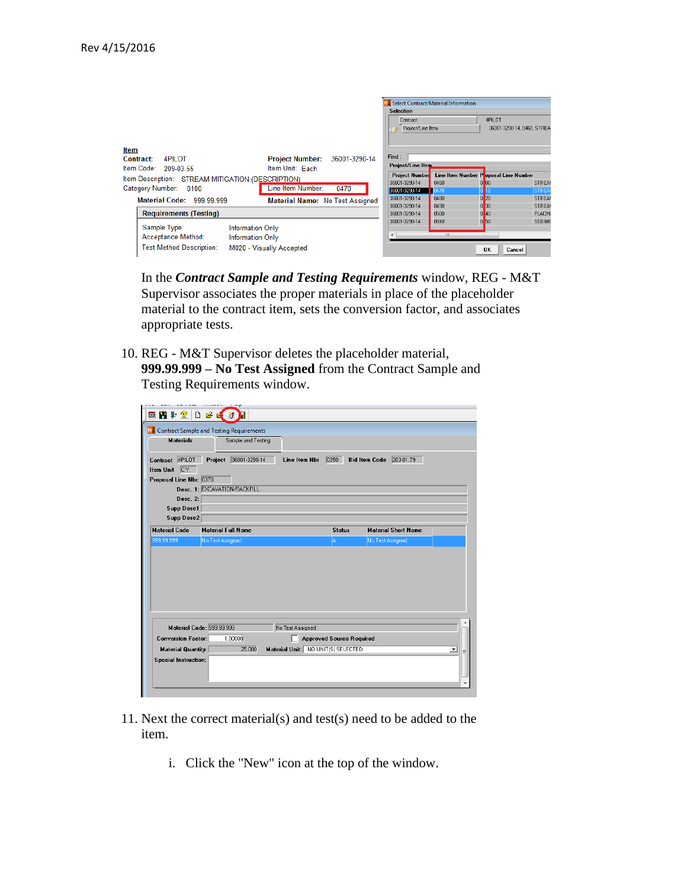|                                                      |                                         |                       | Select Contract/Material Information |                                      |               |
|------------------------------------------------------|-----------------------------------------|-----------------------|--------------------------------------|--------------------------------------|---------------|
|                                                      |                                         | <b>Selection</b>      |                                      |                                      |               |
|                                                      |                                         | Contract              |                                      | 4PII NT                              |               |
|                                                      |                                         | Project/Line Item     |                                      | 36001-3290-14, 0460, STREA           |               |
|                                                      |                                         |                       |                                      |                                      |               |
|                                                      |                                         |                       |                                      |                                      |               |
| <b>Item</b>                                          |                                         |                       |                                      |                                      |               |
| 4PILOT<br>Contract:                                  | <b>Project Number:</b><br>36001-3290-14 | Find:                 |                                      |                                      |               |
| Item Code: 209-03.55                                 | Item Unit: Each                         | Project/Line Item     |                                      |                                      |               |
|                                                      |                                         | <b>Project Number</b> |                                      | Line Item Number Poposal Line Number |               |
| Item Description: STREAM MITIGATION (DESCRIPTION)    |                                         | 36001-3290-14         | 0460                                 | 00                                   | STREAM        |
| Category Number: 0100                                | Line Item Number:<br>0470               | 36001-3290-14         | 0470                                 |                                      | <b>STREA</b>  |
| <b>Material Code: 999.99.999</b>                     | <b>Material Name: No Test Assigned</b>  | 36001-3290-14         | 0480                                 | $0$ <sub>20</sub>                    | <b>STREAM</b> |
|                                                      |                                         | 36001-3290-14         | 0490                                 | $0$ 30                               | STREAM        |
| <b>Requirements (Testing)</b>                        |                                         | 36001-3290-14         | 0500                                 | $0$ 40                               | <b>PLACIN</b> |
|                                                      |                                         | 36001-3290-14         | 0510                                 | 0 <sub>50</sub>                      | <b>SEDIME</b> |
| Sample Type:<br><b>Information Only</b>              |                                         |                       |                                      |                                      |               |
| <b>Acceptance Method:</b><br><b>Information Only</b> |                                         |                       | m.                                   |                                      |               |
| <b>Test Method Description:</b>                      | M020 - Visually Accepted                |                       |                                      | OK<br>Cancel                         |               |
|                                                      |                                         |                       |                                      |                                      |               |

In the *Contract Sample and Testing Requirements* window, REG - M&T Supervisor associates the proper materials in place of the placeholder material to the contract item, sets the conversion factor, and associates appropriate tests.

10. REG - M&T Supervisor deletes the placeholder material, **999.99.999 – No Test Assigned** from the Contract Sample and Testing Requirements window.

|                                                               | 国内社会日后区别                                        |                  |                                    |               |                                   |  |
|---------------------------------------------------------------|-------------------------------------------------|------------------|------------------------------------|---------------|-----------------------------------|--|
|                                                               | <b>Contract Sample and Testing Requirements</b> |                  |                                    |               |                                   |  |
| <b>Materials</b>                                              | Sample and Testing                              |                  |                                    |               |                                   |  |
| Contract 4PILOT                                               | Project 36001-3290-14                           | Line Item Nbr    | $\boxed{0350}$                     |               | <b>Bid Item Code</b><br>203-01.79 |  |
| C.Y.<br><b>Item Unit</b>                                      |                                                 |                  |                                    |               |                                   |  |
| Proposal Line Nbr: 0370                                       |                                                 |                  |                                    |               |                                   |  |
|                                                               | Desc. 1: EXCAVATION/BACKFILL                    |                  |                                    |               |                                   |  |
| Desc. 2:                                                      |                                                 |                  |                                    |               |                                   |  |
| <b>Supp Desc1</b>                                             |                                                 |                  |                                    |               |                                   |  |
| <b>Supp Desc2</b>                                             |                                                 |                  |                                    |               |                                   |  |
| <b>Material Code</b>                                          | <b>Material Full Name</b>                       |                  |                                    | <b>Status</b> | <b>Material Short Name</b>        |  |
|                                                               |                                                 |                  |                                    |               |                                   |  |
| 999.99.999                                                    | No Test Assigned                                |                  |                                    | A             | No Test Assigned                  |  |
| <b>Material Code: 999.99.999</b><br><b>Conversion Factor:</b> | 1.00000                                         | No Test Assigned | <b>Approved Source Required</b>    |               |                                   |  |
| Material Quantity:<br><b>Special Instruction:</b>             | 25,000                                          |                  | Material Unit: NO UNIT(S) SELECTED |               |                                   |  |

- 11. Next the correct material(s) and test(s) need to be added to the item.
	- i. Click the "New" icon at the top of the window.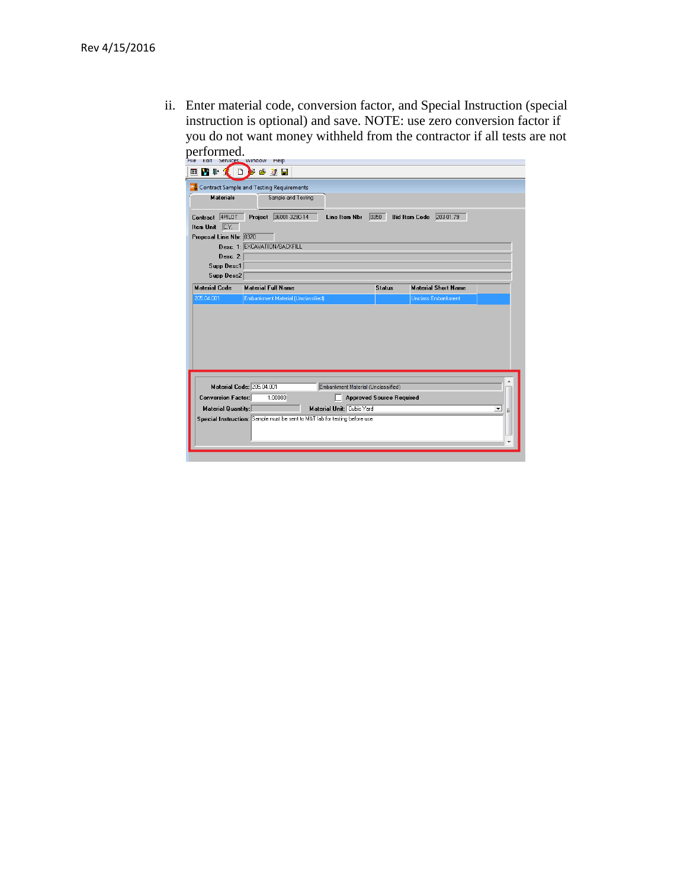ii. Enter material code, conversion factor, and Special Instruction (special instruction is optional) and save. NOTE: use zero conversion factor if you do not want money withheld from the contractor if all tests are not performed.

| 国内社会<br>$\Box$            | E.<br>19 刘目                                        |                                    |                                 |                                   |   |
|---------------------------|----------------------------------------------------|------------------------------------|---------------------------------|-----------------------------------|---|
|                           | <b>P.</b> Contract Sample and Testing Requirements |                                    |                                 |                                   |   |
| <b>Materials</b>          | Sample and Testing                                 |                                    |                                 |                                   |   |
| Contract 4PILOT           | Project 36001-3290-14                              | Line Item Nbr                      | 0350                            | 203-01.79<br><b>Bid Item Code</b> |   |
| C.Y.<br><b>Item Unit</b>  |                                                    |                                    |                                 |                                   |   |
| Proposal Line Nbr: 0370   |                                                    |                                    |                                 |                                   |   |
|                           | Desc. 1: EXCAVATION/BACKFILL                       |                                    |                                 |                                   |   |
| Desc. 2:                  |                                                    |                                    |                                 |                                   |   |
| Supp Desc1                |                                                    |                                    |                                 |                                   |   |
| Supp Desc2                |                                                    |                                    |                                 |                                   |   |
| <b>Material Code</b>      | <b>Material Full Name</b>                          |                                    | <b>Status</b>                   | <b>Material Short Name</b>        |   |
|                           |                                                    |                                    |                                 |                                   |   |
| 205.04.001                | Embankment Material (Unclassified)                 |                                    |                                 | <b>Unclass Embankment</b>         |   |
|                           | Material Code: 205.04.001                          | Embankment Material (Unclassified) |                                 |                                   |   |
| <b>Conversion Factor:</b> | 1.00000                                            |                                    | <b>Approved Source Required</b> |                                   |   |
| <b>Material Quantity:</b> |                                                    | Material Unit: Cubic Yard          |                                 |                                   | ᆂ |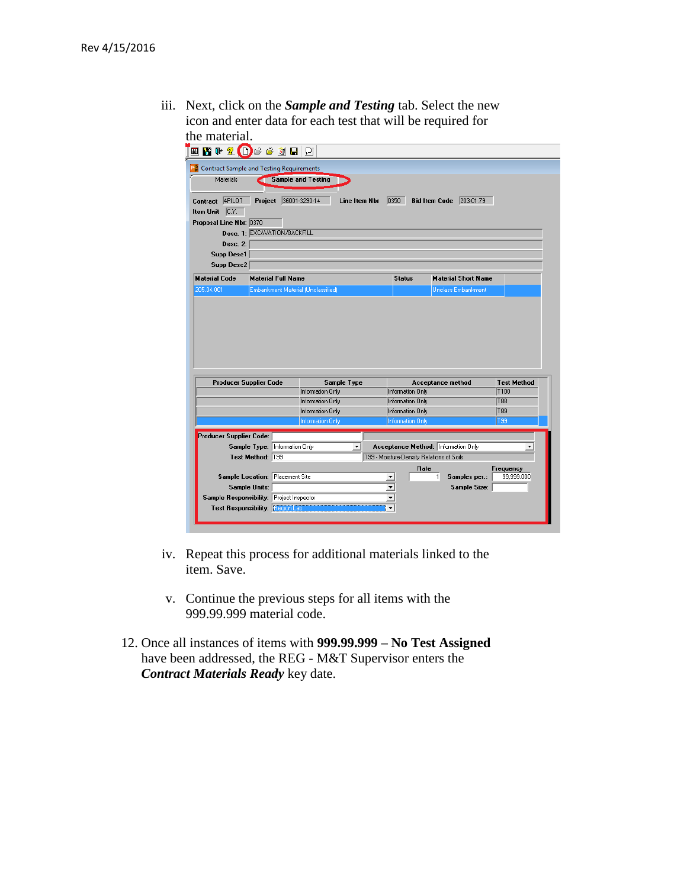iii. Next, click on the *Sample and Testing* tab. Select the new icon and enter data for each test that will be required for the material.

|                                                                     | <b>PM</b> Contract Sample and Testing Requirements |                                      |                      |                                      |                                           |                         |
|---------------------------------------------------------------------|----------------------------------------------------|--------------------------------------|----------------------|--------------------------------------|-------------------------------------------|-------------------------|
| Materials                                                           |                                                    | <b>Sample and Testing</b>            |                      |                                      |                                           |                         |
|                                                                     |                                                    |                                      |                      |                                      |                                           |                         |
| Contract 4PILOT                                                     | Project 36001-3290-14                              | Line Item Nbr                        |                      | 0350                                 | <b>Bid Item Code</b> 203-01.79            |                         |
| Item Unit C.Y.                                                      |                                                    |                                      |                      |                                      |                                           |                         |
| Proposal Line Nbr: 0370                                             |                                                    |                                      |                      |                                      |                                           |                         |
|                                                                     | Desc. 1: EXCAVATION/BACKFILL                       |                                      |                      |                                      |                                           |                         |
| Desc. 2:                                                            |                                                    |                                      |                      |                                      |                                           |                         |
| Supp Desc1                                                          |                                                    |                                      |                      |                                      |                                           |                         |
| Supp Desc2                                                          |                                                    |                                      |                      |                                      |                                           |                         |
| <b>Material Code</b>                                                | <b>Material Full Name</b>                          |                                      |                      | <b>Status</b>                        | <b>Material Short Name</b>                |                         |
| 205.04.001                                                          | Embankment Material (Unclassified)                 |                                      |                      |                                      | <b>Unclass Embankment</b>                 |                         |
|                                                                     |                                                    |                                      |                      |                                      |                                           |                         |
|                                                                     |                                                    |                                      |                      |                                      |                                           |                         |
| <b>Producer Supplier Code</b>                                       |                                                    | Sample Type                          |                      |                                      | Acceptance method                         | <b>Test Method</b>      |
|                                                                     |                                                    | Information Only                     |                      | Information Only                     |                                           | T100                    |
|                                                                     |                                                    | <b>Information Only</b>              |                      | <b>Information Only</b>              |                                           | <b>T88</b>              |
|                                                                     |                                                    | Information Only<br>Information Only |                      | Information Only<br>Information Only |                                           | T89<br>T99              |
|                                                                     |                                                    |                                      |                      |                                      |                                           |                         |
|                                                                     |                                                    |                                      |                      |                                      |                                           |                         |
|                                                                     | Sample Type: Information Only                      | $\vert$                              |                      |                                      | Acceptance Method: Information Only       | $\blacktriangledown$    |
|                                                                     | Test Method: 799                                   |                                      |                      |                                      | T99 - Moisture-Density Relations of Soils |                         |
|                                                                     | Sample Location: Placement Site                    |                                      | $\blacktriangledown$ | Rate                                 | 1<br>Samples per.:                        | Frequency<br>99,999.000 |
| <b>Sample Units:</b>                                                |                                                    |                                      | $\blacktriangledown$ |                                      | Sample Size:                              |                         |
| Producer Supplier Code:<br>Sample Responsibility: Project Inspector |                                                    |                                      | $\blacktriangledown$ |                                      |                                           |                         |

- iv. Repeat this process for additional materials linked to the item. Save.
- v. Continue the previous steps for all items with the 999.99.999 material code.
- 12. Once all instances of items with **999.99.999 – No Test Assigned** have been addressed, the REG - M&T Supervisor enters the *Contract Materials Ready* key date.